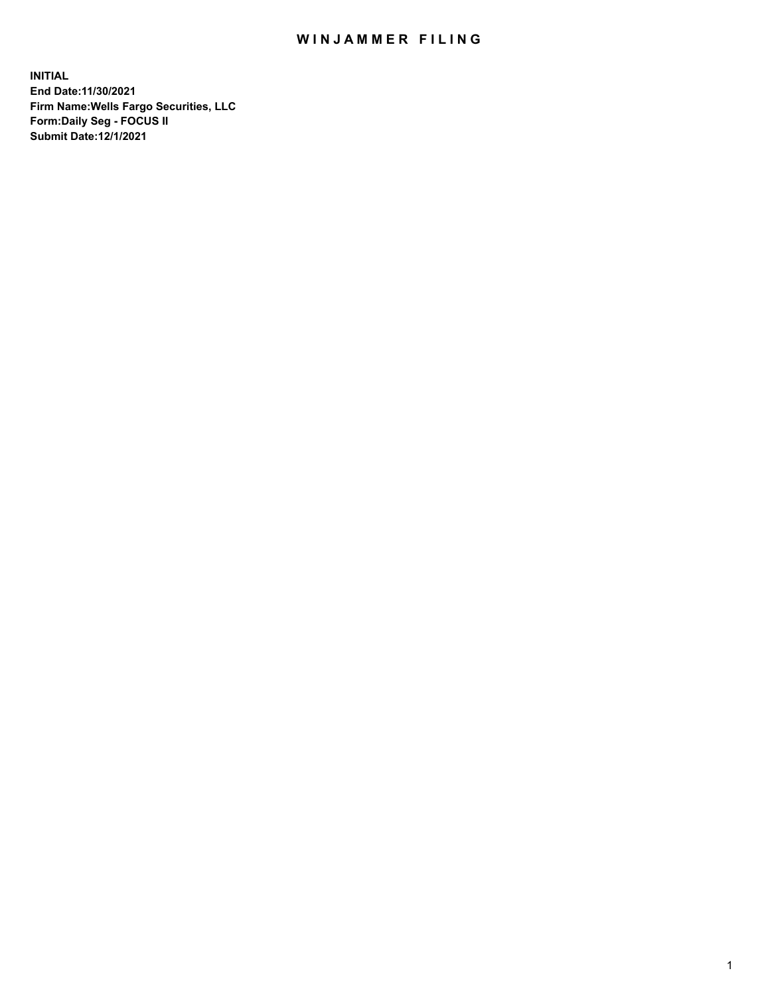## WIN JAMMER FILING

**INITIAL End Date:11/30/2021 Firm Name:Wells Fargo Securities, LLC Form:Daily Seg - FOCUS II Submit Date:12/1/2021**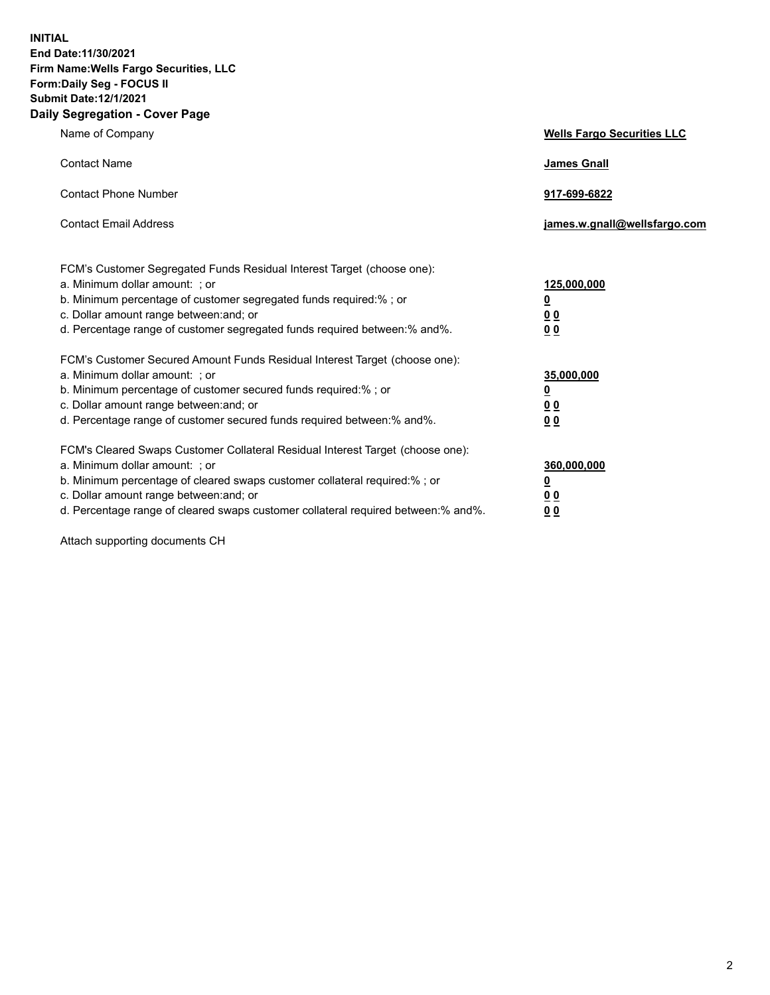**INITIAL End Date:11/30/2021 Firm Name:Wells Fargo Securities, LLC Form:Daily Seg - FOCUS II Submit Date:12/1/2021 Daily Segregation - Cover Page**

| Name of Company                                                                                                                                                                                                                                                                                                                | <b>Wells Fargo Securities LLC</b>                          |
|--------------------------------------------------------------------------------------------------------------------------------------------------------------------------------------------------------------------------------------------------------------------------------------------------------------------------------|------------------------------------------------------------|
| <b>Contact Name</b>                                                                                                                                                                                                                                                                                                            | <b>James Gnall</b>                                         |
| <b>Contact Phone Number</b>                                                                                                                                                                                                                                                                                                    | 917-699-6822                                               |
| <b>Contact Email Address</b>                                                                                                                                                                                                                                                                                                   | james.w.gnall@wellsfargo.com                               |
| FCM's Customer Segregated Funds Residual Interest Target (choose one):<br>a. Minimum dollar amount: ; or<br>b. Minimum percentage of customer segregated funds required:% ; or<br>c. Dollar amount range between: and; or<br>d. Percentage range of customer segregated funds required between:% and%.                         | 125,000,000<br><u>0</u><br>0 <sub>0</sub><br>00            |
| FCM's Customer Secured Amount Funds Residual Interest Target (choose one):<br>a. Minimum dollar amount: ; or<br>b. Minimum percentage of customer secured funds required:%; or<br>c. Dollar amount range between: and; or<br>d. Percentage range of customer secured funds required between:% and%.                            | 35,000,000<br><u>0</u><br>0 <sub>0</sub><br>0 <sub>0</sub> |
| FCM's Cleared Swaps Customer Collateral Residual Interest Target (choose one):<br>a. Minimum dollar amount: ; or<br>b. Minimum percentage of cleared swaps customer collateral required:% ; or<br>c. Dollar amount range between: and; or<br>d. Percentage range of cleared swaps customer collateral required between:% and%. | 360,000,000<br><u>0</u><br>00<br>00                        |

Attach supporting documents CH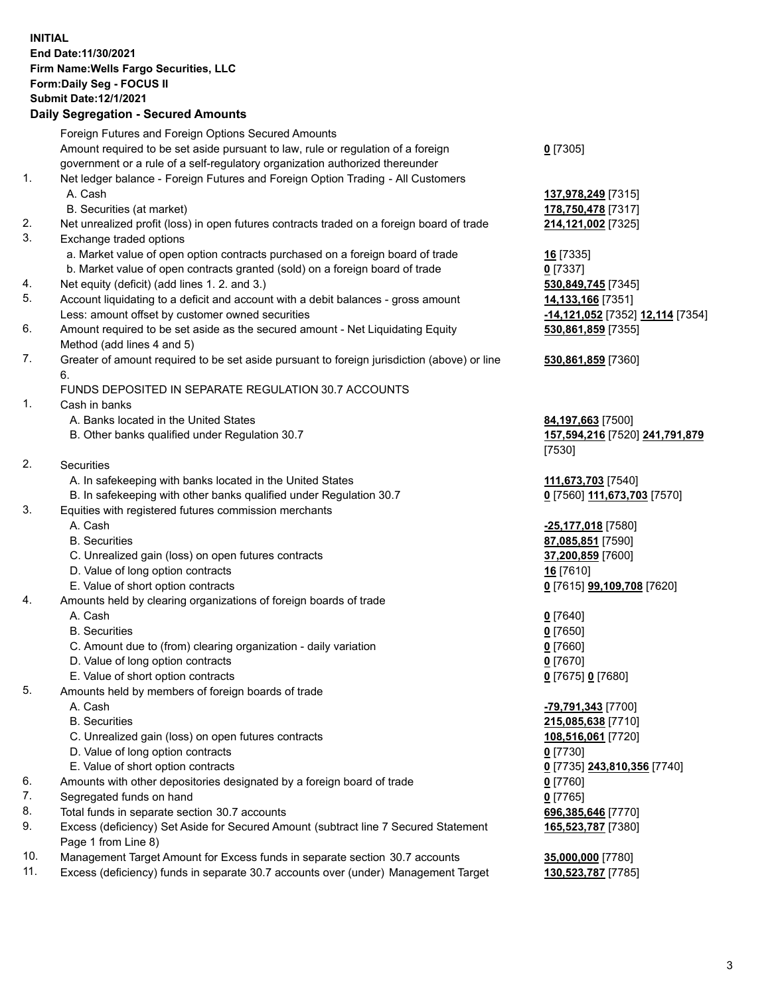**INITIAL End Date:11/30/2021 Firm Name:Wells Fargo Securities, LLC Form:Daily Seg - FOCUS II Submit Date:12/1/2021 Daily Segregation - Secured Amounts** Foreign Futures and Foreign Options Secured Amounts

Amount required to be set aside pursuant to law, rule or regulation of a foreign government or a rule of a self-regulatory organization authorized thereunder

## 1. Net ledger balance - Foreign Futures and Foreign Option Trading - All Customers A. Cash **137,978,249** [7315]

- B. Securities (at market) **178,750,478** [7317]
- 2. Net unrealized profit (loss) in open futures contracts traded on a foreign board of trade **214,121,002** [7325]
- 3. Exchange traded options
	- a. Market value of open option contracts purchased on a foreign board of trade **16** [7335]
	- b. Market value of open contracts granted (sold) on a foreign board of trade **0** [7337]
- 4. Net equity (deficit) (add lines 1. 2. and 3.) **530,849,745** [7345]
- 5. Account liquidating to a deficit and account with a debit balances gross amount **14,133,166** [7351] Less: amount offset by customer owned securities **-14,121,052** [7352] **12,114** [7354]
- 6. Amount required to be set aside as the secured amount Net Liquidating Equity Method (add lines 4 and 5)
- 7. Greater of amount required to be set aside pursuant to foreign jurisdiction (above) or line 6.

## FUNDS DEPOSITED IN SEPARATE REGULATION 30.7 ACCOUNTS

- 1. Cash in banks
	- A. Banks located in the United States **84,197,663** [7500]
	- B. Other banks qualified under Regulation 30.7 **157,594,216** [7520] **241,791,879**
- 2. Securities
	- A. In safekeeping with banks located in the United States **111,673,703** [7540]
- B. In safekeeping with other banks qualified under Regulation 30.7 **0** [7560] **111,673,703** [7570]
- 3. Equities with registered futures commission merchants
	-
	-
	- C. Unrealized gain (loss) on open futures contracts **37,200,859** [7600]
	- D. Value of long option contracts **16** [7610]
	- E. Value of short option contracts **0** [7615] **99,109,708** [7620]
- 4. Amounts held by clearing organizations of foreign boards of trade
	- A. Cash **0** [7640]
	- B. Securities **0** [7650]
	- C. Amount due to (from) clearing organization daily variation **0** [7660]
	- D. Value of long option contracts **0** [7670]
	- E. Value of short option contracts **0** [7675] **0** [7680]
- 5. Amounts held by members of foreign boards of trade
	-
	-
	- C. Unrealized gain (loss) on open futures contracts **108,516,061** [7720]
	- D. Value of long option contracts **0** [7730]
	- E. Value of short option contracts **0** [7735] **243,810,356** [7740]
- 6. Amounts with other depositories designated by a foreign board of trade **0** [7760]
- 7. Segregated funds on hand **0** [7765]
- 8. Total funds in separate section 30.7 accounts **696,385,646** [7770]
- 9. Excess (deficiency) Set Aside for Secured Amount (subtract line 7 Secured Statement Page 1 from Line 8)
- 10. Management Target Amount for Excess funds in separate section 30.7 accounts **35,000,000** [7780]
- 11. Excess (deficiency) funds in separate 30.7 accounts over (under) Management Target **130,523,787** [7785]

**0** [7305]

**530,861,859** [7355]

## **530,861,859** [7360]

[7530]

 A. Cash **-25,177,018** [7580] B. Securities **87,085,851** [7590]

 A. Cash **-79,791,343** [7700] B. Securities **215,085,638** [7710] **165,523,787** [7380]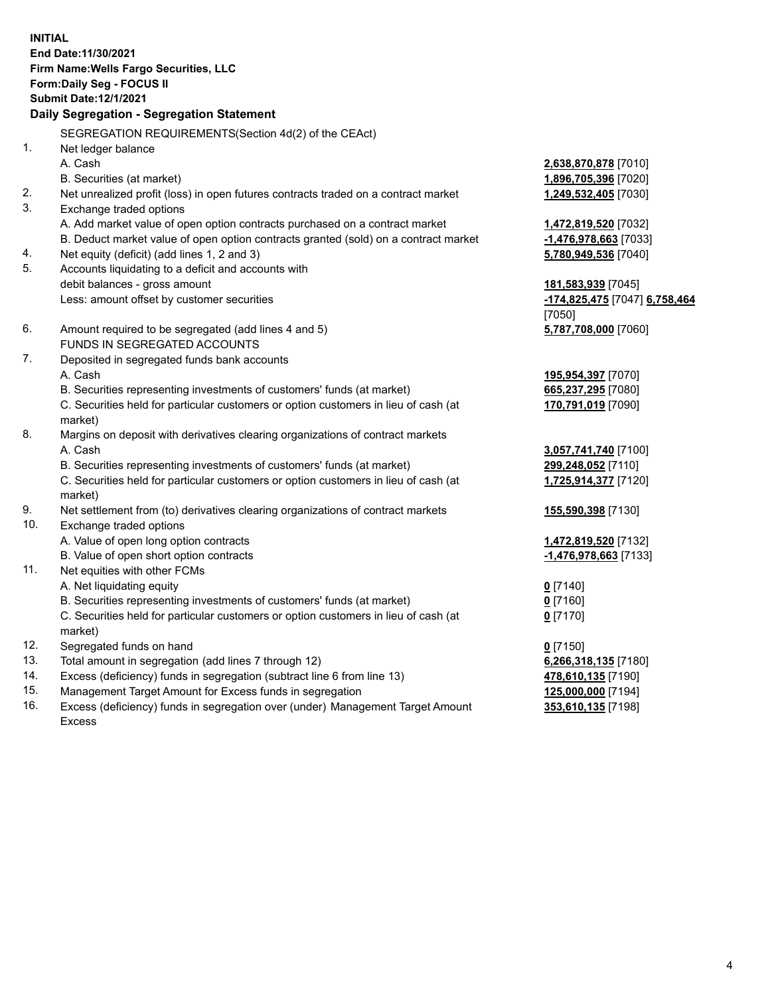**INITIAL End Date:11/30/2021 Firm Name:Wells Fargo Securities, LLC Form:Daily Seg - FOCUS II Submit Date:12/1/2021 Daily Segregation - Segregation Statement** SEGREGATION REQUIREMENTS(Section 4d(2) of the CEAct)

| 1.  | Net ledger balance                                                                  |                               |
|-----|-------------------------------------------------------------------------------------|-------------------------------|
|     | A. Cash                                                                             | 2,638,870,878 [7010]          |
|     | B. Securities (at market)                                                           | 1,896,705,396 [7020]          |
| 2.  | Net unrealized profit (loss) in open futures contracts traded on a contract market  | 1,249,532,405 [7030]          |
| 3.  | Exchange traded options                                                             |                               |
|     | A. Add market value of open option contracts purchased on a contract market         | 1,472,819,520 [7032]          |
|     | B. Deduct market value of open option contracts granted (sold) on a contract market | -1,476,978,663 [7033]         |
| 4.  | Net equity (deficit) (add lines 1, 2 and 3)                                         | 5,780,949,536 [7040]          |
| 5.  | Accounts liquidating to a deficit and accounts with                                 |                               |
|     | debit balances - gross amount                                                       | 181,583,939 [7045]            |
|     | Less: amount offset by customer securities                                          | -174,825,475 [7047] 6,758,464 |
|     |                                                                                     | [7050]                        |
| 6.  | Amount required to be segregated (add lines 4 and 5)                                | 5,787,708,000 [7060]          |
|     | FUNDS IN SEGREGATED ACCOUNTS                                                        |                               |
| 7.  | Deposited in segregated funds bank accounts                                         |                               |
|     | A. Cash                                                                             | 195,954,397 [7070]            |
|     | B. Securities representing investments of customers' funds (at market)              | 665,237,295 [7080]            |
|     | C. Securities held for particular customers or option customers in lieu of cash (at | 170,791,019 [7090]            |
|     | market)                                                                             |                               |
| 8.  | Margins on deposit with derivatives clearing organizations of contract markets      |                               |
|     | A. Cash                                                                             | 3,057,741,740 [7100]          |
|     | B. Securities representing investments of customers' funds (at market)              | 299,248,052 [7110]            |
|     | C. Securities held for particular customers or option customers in lieu of cash (at | 1,725,914,377 [7120]          |
|     | market)                                                                             |                               |
| 9.  | Net settlement from (to) derivatives clearing organizations of contract markets     | 155,590,398 [7130]            |
| 10. | Exchange traded options                                                             |                               |
|     | A. Value of open long option contracts                                              | 1,472,819,520 [7132]          |
|     | B. Value of open short option contracts                                             | -1,476,978,663 [7133]         |
| 11. | Net equities with other FCMs                                                        |                               |
|     | A. Net liquidating equity                                                           | $0$ [7140]                    |
|     | B. Securities representing investments of customers' funds (at market)              | $0$ [7160]                    |
|     | C. Securities held for particular customers or option customers in lieu of cash (at | $0$ [7170]                    |
|     | market)                                                                             |                               |
| 12. | Segregated funds on hand                                                            | $0$ [7150]                    |
| 13. | Total amount in segregation (add lines 7 through 12)                                | 6,266,318,135 [7180]          |
| 14. | Excess (deficiency) funds in segregation (subtract line 6 from line 13)             | 478,610,135 [7190]            |
| 15. | Management Target Amount for Excess funds in segregation                            | 125,000,000 [7194]            |
| 16. | Excess (deficiency) funds in segregation over (under) Management Target Amount      | 353,610,135 [7198]            |
|     | <b>Excess</b>                                                                       |                               |